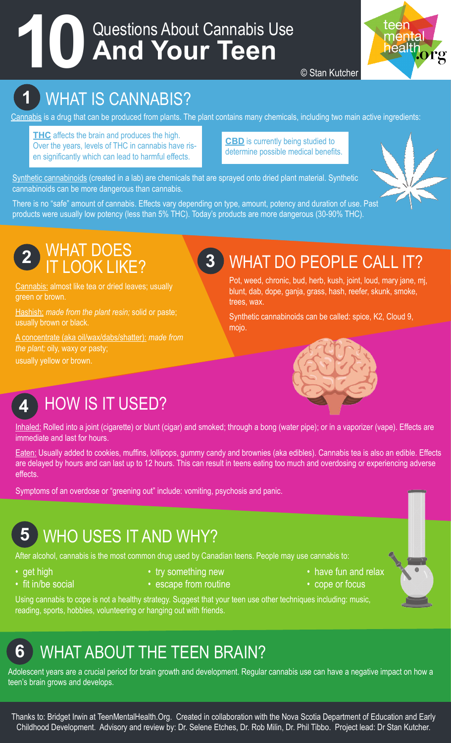# Questions About Cannabis Use **10 And Your Teen**



© Stan Kutcher

## **1** WHAT IS CANNABIS?

Cannabis is a drug that can be produced from plants. The plant contains many chemicals, including two main active ingredients:

**THC** affects the brain and produces the high. Over the years, levels of THC in cannabis have risen significantly which can lead to harmful effects.

**CBD** is currently being studied to determine possible medical benefits.

Synthetic cannabinoids (created in a lab) are chemicals that are sprayed onto dried plant material. Synthetic cannabinoids can be more dangerous than cannabis.

There is no "safe" amount of cannabis. Effects vary depending on type, amount, potency and duration of use. Past products were usually low potency (less than 5% THC). Today's products are more dangerous (30-90% THC).



### **2** WHAT DOES IT LOOK LIKE?

Cannabis: almost like tea or dried leaves; usually green or brown.

Hashish: *made from the plant resin;* solid or paste; usually brown or black.

A concentrate (aka oil/wax/dabs/shatter): *made from the plant;* oily, waxy or pasty; usually yellow or brown.

### **3** WHAT DO PEOPLE CALL IT?

Pot, weed, chronic, bud, herb, kush, joint, loud, mary jane, mj, blunt, dab, dope, ganja, grass, hash, reefer, skunk, smoke, trees, wax.

Synthetic cannabinoids can be called: spice, K2, Cloud 9, mojo.



### **4** HOW IS IT USED?

Inhaled: Rolled into a joint (cigarette) or blunt (cigar) and smoked; through a bong (water pipe); or in a vaporizer (vape). Effects are immediate and last for hours.

Eaten: Usually added to cookies, muffins, lollipops, gummy candy and brownies (aka edibles). Cannabis tea is also an edible. Effects are delayed by hours and can last up to 12 hours. This can result in teens eating too much and overdosing or experiencing adverse effects.

Symptoms of an overdose or "greening out" include: vomiting, psychosis and panic.

### **5** WHO USES IT AND WHY?

After alcohol, cannabis is the most common drug used by Canadian teens. People may use cannabis to:

- 
- fit in/be social escape from routine  $\bullet$  cope or focus
- get high try something new the example  **have fun and relax** 
	-
- 
- 

Using cannabis to cope is not a healthy strategy. Suggest that your teen use other techniques including: music, reading, sports, hobbies, volunteering or hanging out with friends.

### **6** WHAT ABOUT THE TEEN BRAIN?

Adolescent years are a crucial period for brain growth and development. Regular cannabis use can have a negative impact on how a teen's brain grows and develops.

Thanks to: Bridget Irwin at TeenMentalHealth.Org. Created in collaboration with the Nova Scotia Department of Education and Early Childhood Development. Advisory and review by: Dr. Selene Etches, Dr. Rob Milin, Dr. Phil Tibbo. Project lead: Dr Stan Kutcher.